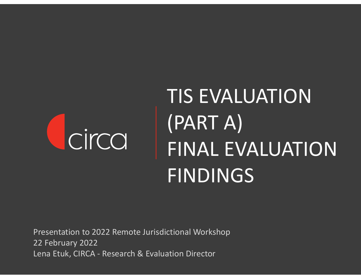# circa

## TIS EVALUATION (PART A) FINAL EVALUATION FINDINGS

Presentation to 2022 Remote Jurisdictional Workshop 22 February 2022 Lena Etuk, CIRCA - Research & Evaluation Director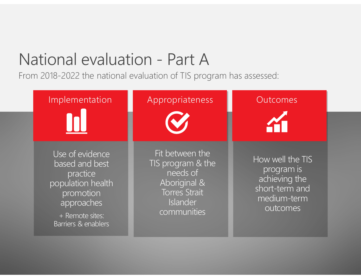## National evaluation - Part A

From 2018-2022 the national evaluation of TIS program has assessed:

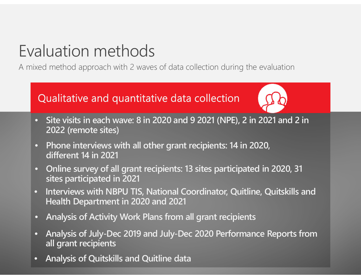## Evaluation methods

A mixed method approach with 2 waves of data collection during the evaluation

#### Qualitative and quantitative data collection



- **Site visits in each wave: 8 in 2020 and 9 2021 (NPE), 2 in 2021 and 2 in 2022 (remote sites)**
- **Phone interviews with all other grant recipients: 14 in 2020, different 14 in 2021**
- **Online survey of all grant recipients: 13 sites participated in 2020, 31 sites participated in 2021**
- **Interviews with NBPU TIS, National Coordinator, Quitline, Quitskills and Health Department in 2020 and 2021**
- **Analysis of Activity Work Plans from all grant recipients**
- **Analysis of July-Dec 2019 and July-Dec 2020 Performance Reports from all grant recipients**
- **Analysis of Quitskills and Quitline data**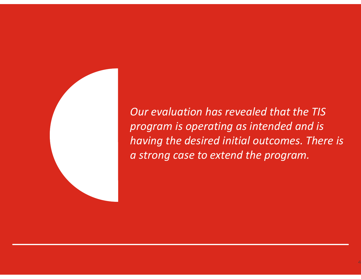

*Our evaluation has revealed that the TIS program is operating as intended and is having the desired initial outcomes. There is a strong case to extend the program.*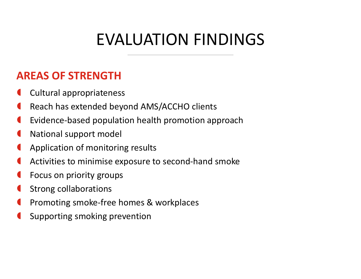## EVALUATION FINDINGS

#### **AREAS OF STRENGTH**

- **Cultural appropriateness**
- Reach has extended beyond AMS/ACCHO clients
- Evidence-based population health promotion approach
- National support model
- Application of monitoring results
- Activities to minimise exposure to second-hand smoke
- Focus on priority groups
- Strong collaborations
- Promoting smoke-free homes & workplaces
- Supporting smoking prevention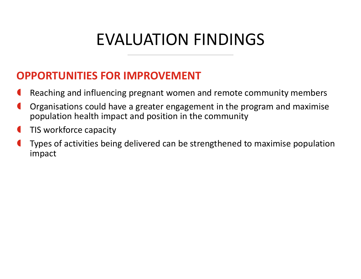## EVALUATION FINDINGS

#### **OPPORTUNITIES FOR IMPROVEMENT**

- **C** Reaching and influencing pregnant women and remote community members
- Organisations could have a greater engagement in the program and maximise population health impact and position in the community
- **IFFE** TIS workforce capacity
- Types of activities being delivered can be strengthened to maximise population impact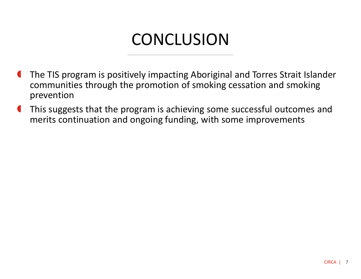## **CONCLUSION**

- **The TIS program is positively impacting Aboriginal and Torres Strait Islander** communities through the promotion of smoking cessation and smoking prevention
- **This suggests that the program is achieving some successful outcomes and** merits continuation and ongoing funding, with some improvements